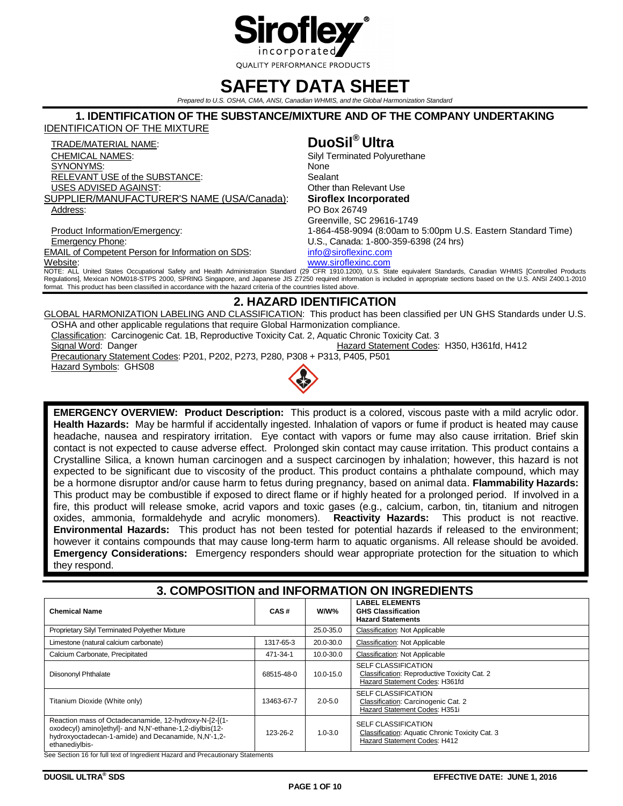

# **SAFETY DATA SHEET**

*Prepared to U.S. OSHA, CMA, ANSI, Canadian WHMIS, and the Global Harmonization Standard*

### **1. IDENTIFICATION OF THE SUBSTANCE/MIXTURE AND OF THE COMPANY UNDERTAKING**

IDENTIFICATION OF THE MIXTURE

TRADE/MATERIAL NAME: **DuoSil® Ultra** CHEMICAL NAMES: Silyl Terminated Polyurethane SYNONYMS: None RELEVANT USE of the SUBSTANCE: Sealant USES ADVISED AGAINST: **Other than Relevant Use** SUPPLIER/MANUFACTURER'S NAME (USA/Canada): **Siroflex Incorporated** Address: PO Box 26749

Greenville, SC 29616-1749 Product Information/Emergency: 1-864-458-9094 (8:00am to 5:00pm U.S. Eastern Standard Time) Emergency Phone: U.S., Canada: 1-800-359-6398 (24 hrs) EMAIL of Competent Person for Information on SDS: [info@siroflexinc.com](mailto:info@siroflexinc.com) Website: [www.siroflexinc.com](http://www.siroflexinc.com/)

NOTE: ALL United States Occupational Safety and Health Administration Standard (29 CFR 1910.1200), U.S. State equivalent Standards, Canadian WHMIS [Controlled Products Regulations], Mexican NOM018-STPS 2000, SPRING Singapore, and Japanese JIS Z7250 required information is included in appropriate sections based on the U.S. ANSI Z400.1-2010 format. This product has been classified in accordance with the hazard criteria of the countries listed above.

# **2. HAZARD IDENTIFICATION**

GLOBAL HARMONIZATION LABELING AND CLASSIFICATION: This product has been classified per UN GHS Standards under U.S. OSHA and other applicable regulations that require Global Harmonization compliance. Classification: Carcinogenic Cat. 1B, Reproductive Toxicity Cat. 2, Aquatic Chronic Toxicity Cat. 3

Signal Word: Danger **Hazard Statement Codes: H350, H361fd, H412** 

Precautionary Statement Codes: P201, P202, P273, P280, P308 + P313, P405, P501 Hazard Symbols: GHS08



**EMERGENCY OVERVIEW: Product Description:** This product is a colored, viscous paste with a mild acrylic odor. **Health Hazards:** May be harmful if accidentally ingested. Inhalation of vapors or fume if product is heated may cause headache, nausea and respiratory irritation. Eye contact with vapors or fume may also cause irritation. Brief skin contact is not expected to cause adverse effect. Prolonged skin contact may cause irritation. This product contains a Crystalline Silica, a known human carcinogen and a suspect carcinogen by inhalation; however, this hazard is not expected to be significant due to viscosity of the product. This product contains a phthalate compound, which may be a hormone disruptor and/or cause harm to fetus during pregnancy, based on animal data. **Flammability Hazards:** This product may be combustible if exposed to direct flame or if highly heated for a prolonged period. If involved in a fire, this product will release smoke, acrid vapors and toxic gases (e.g., calcium, carbon, tin, titanium and nitrogen oxides, ammonia, formaldehyde and acrylic monomers). **Reactivity Hazards:** This product is not reactive. **Environmental Hazards:** This product has not been tested for potential hazards if released to the environment; however it contains compounds that may cause long-term harm to aquatic organisms. All release should be avoided. **Emergency Considerations:** Emergency responders should wear appropriate protection for the situation to which they respond.

# **3. COMPOSITION and INFORMATION ON INGREDIENTS**

| <b>Chemical Name</b>                                                                                                                                                                      | CAS#       | W/W%          | <b>LABEL ELEMENTS</b><br><b>GHS Classification</b><br><b>Hazard Statements</b>                                |
|-------------------------------------------------------------------------------------------------------------------------------------------------------------------------------------------|------------|---------------|---------------------------------------------------------------------------------------------------------------|
| Proprietary Silyl Terminated Polyether Mixture                                                                                                                                            |            | 25.0-35.0     | <b>Classification: Not Applicable</b>                                                                         |
| Limestone (natural calcium carbonate)                                                                                                                                                     | 1317-65-3  | 20.0-30.0     | <b>Classification: Not Applicable</b>                                                                         |
| Calcium Carbonate, Precipitated                                                                                                                                                           | 471-34-1   | 10.0-30.0     | <b>Classification: Not Applicable</b>                                                                         |
| Diisononyl Phthalate                                                                                                                                                                      | 68515-48-0 | $10.0 - 15.0$ | <b>SELF CLASSIFICATION</b><br>Classification: Reproductive Toxicity Cat. 2<br>Hazard Statement Codes: H361fd  |
| Titanium Dioxide (White only)                                                                                                                                                             | 13463-67-7 | $2.0 - 5.0$   | <b>SELF CLASSIFICATION</b><br>Classification: Carcinogenic Cat. 2<br>Hazard Statement Codes: H351i            |
| Reaction mass of Octadecanamide, 12-hydroxy-N-[2-[(1-<br>oxodecyl) aminolethyll- and N,N'-ethane-1,2-diylbis(12-<br>hydroxyoctadecan-1-amide) and Decanamide, N,N'-1,2-<br>ethanediylbis- | 123-26-2   | $1.0 - 3.0$   | <b>SELF CLASSIFICATION</b><br>Classification: Aquatic Chronic Toxicity Cat. 3<br>Hazard Statement Codes: H412 |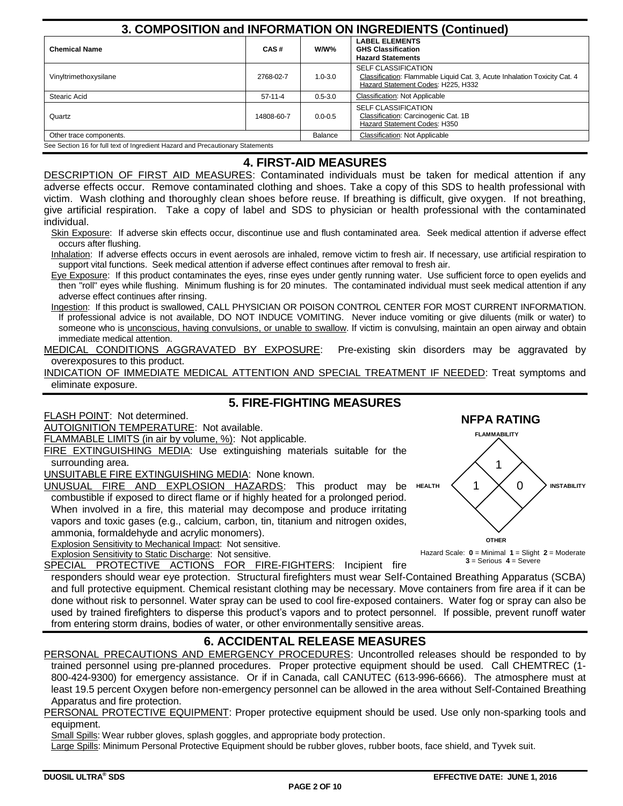| 3. COMPOSITION and INFORMATION ON INGREDIENTS (Continued)                      |            |                                                                                        |                                                                                                                                               |  |  |  |  |  |
|--------------------------------------------------------------------------------|------------|----------------------------------------------------------------------------------------|-----------------------------------------------------------------------------------------------------------------------------------------------|--|--|--|--|--|
| <b>Chemical Name</b>                                                           | CAS#       | <b>LABEL ELEMENTS</b><br>W/W%<br><b>GHS Classification</b><br><b>Hazard Statements</b> |                                                                                                                                               |  |  |  |  |  |
| Vinyltrimethoxysilane                                                          | 2768-02-7  | $1.0 - 3.0$                                                                            | <b>SELF CLASSIFICATION</b><br>Classification: Flammable Liquid Cat. 3, Acute Inhalation Toxicity Cat. 4<br>Hazard Statement Codes: H225, H332 |  |  |  |  |  |
| Stearic Acid                                                                   | 57-11-4    | $0.5 - 3.0$                                                                            | <b>Classification: Not Applicable</b>                                                                                                         |  |  |  |  |  |
| Quartz                                                                         | 14808-60-7 | $0.0 - 0.5$                                                                            | <b>SELF CLASSIFICATION</b><br>Classification: Carcinogenic Cat. 1B<br>Hazard Statement Codes: H350                                            |  |  |  |  |  |
| Other trace components.                                                        |            | Balance                                                                                | Classification: Not Applicable                                                                                                                |  |  |  |  |  |
| See Section 16 for full text of Ingredient Hazard and Precautionary Statements |            |                                                                                        |                                                                                                                                               |  |  |  |  |  |

# **4. FIRST-AID MEASURES**

DESCRIPTION OF FIRST AID MEASURES: Contaminated individuals must be taken for medical attention if any adverse effects occur. Remove contaminated clothing and shoes. Take a copy of this SDS to health professional with victim. Wash clothing and thoroughly clean shoes before reuse. If breathing is difficult, give oxygen. If not breathing, give artificial respiration. Take a copy of label and SDS to physician or health professional with the contaminated individual.

Skin Exposure: If adverse skin effects occur, discontinue use and flush contaminated area. Seek medical attention if adverse effect occurs after flushing.

Inhalation: If adverse effects occurs in event aerosols are inhaled, remove victim to fresh air. If necessary, use artificial respiration to support vital functions. Seek medical attention if adverse effect continues after removal to fresh air.

Eye Exposure: If this product contaminates the eyes, rinse eyes under gently running water. Use sufficient force to open eyelids and then "roll" eyes while flushing. Minimum flushing is for 20 minutes. The contaminated individual must seek medical attention if any adverse effect continues after rinsing.

Ingestion: If this product is swallowed, CALL PHYSICIAN OR POISON CONTROL CENTER FOR MOST CURRENT INFORMATION. If professional advice is not available, DO NOT INDUCE VOMITING. Never induce vomiting or give diluents (milk or water) to someone who is unconscious, having convulsions, or unable to swallow. If victim is convulsing, maintain an open airway and obtain immediate medical attention.

MEDICAL CONDITIONS AGGRAVATED BY EXPOSURE: Pre-existing skin disorders may be aggravated by overexposures to this product.

INDICATION OF IMMEDIATE MEDICAL ATTENTION AND SPECIAL TREATMENT IF NEEDED: Treat symptoms and eliminate exposure.

# **5. FIRE-FIGHTING MEASURES**

FLASH POINT: Not determined.

AUTOIGNITION TEMPERATURE: Not available.

FLAMMABLE LIMITS (in air by volume, %): Not applicable.

FIRE EXTINGUISHING MEDIA: Use extinguishing materials suitable for the surrounding area.

UNSUITABLE FIRE EXTINGUISHING MEDIA: None known.

UNUSUAL FIRE AND EXPLOSION HAZARDS: This product may be HEALTH  $\langle$  1 combustible if exposed to direct flame or if highly heated for a prolonged period. When involved in a fire, this material may decompose and produce irritating vapors and toxic gases (e.g., calcium, carbon, tin, titanium and nitrogen oxides, ammonia, formaldehyde and acrylic monomers).

Explosion Sensitivity to Mechanical Impact: Not sensitive.



0

**INSTABILITY**

**FLAMMABILITY**

1

**NFPA RATING**

Explosion Sensitivity to Static Discharge: Not sensitive. SPECIAL PROTECTIVE ACTIONS FOR FIRE-FIGHTERS: Incipient fire

responders should wear eye protection. Structural firefighters must wear Self-Contained Breathing Apparatus (SCBA) and full protective equipment. Chemical resistant clothing may be necessary. Move containers from fire area if it can be done without risk to personnel. Water spray can be used to cool fire-exposed containers. Water fog or spray can also be used by trained firefighters to disperse this product's vapors and to protect personnel. If possible, prevent runoff water from entering storm drains, bodies of water, or other environmentally sensitive areas.

# **6. ACCIDENTAL RELEASE MEASURES**

PERSONAL PRECAUTIONS AND EMERGENCY PROCEDURES: Uncontrolled releases should be responded to by trained personnel using pre-planned procedures. Proper protective equipment should be used. Call CHEMTREC (1- 800-424-9300) for emergency assistance. Or if in Canada, call CANUTEC (613-996-6666). The atmosphere must at least 19.5 percent Oxygen before non-emergency personnel can be allowed in the area without Self-Contained Breathing Apparatus and fire protection.

### PERSONAL PROTECTIVE EQUIPMENT: Proper protective equipment should be used. Use only non-sparking tools and equipment.

Small Spills: Wear rubber gloves, splash goggles, and appropriate body protection.

Large Spills: Minimum Personal Protective Equipment should be rubber gloves, rubber boots, face shield, and Tyvek suit.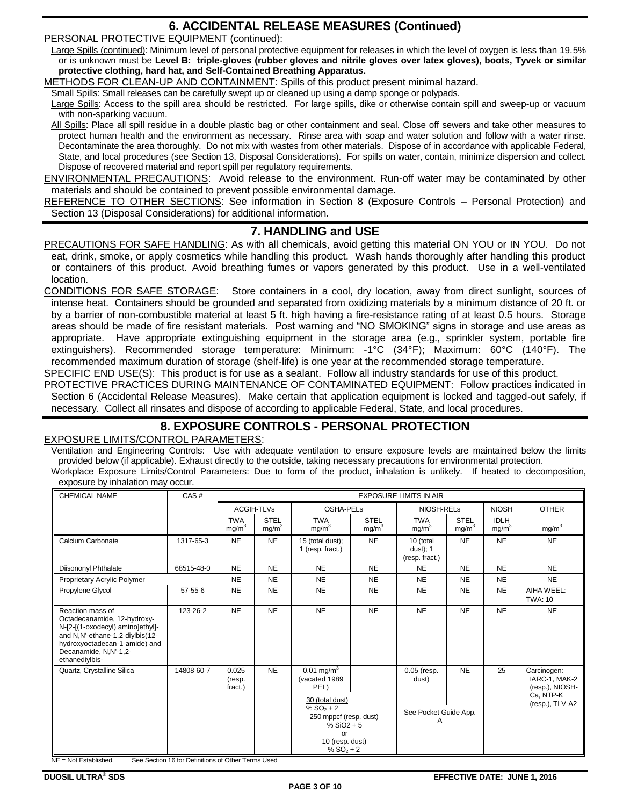# **6. ACCIDENTAL RELEASE MEASURES (Continued)**

PERSONAL PROTECTIVE EQUIPMENT (continued):

Large Spills (continued): Minimum level of personal protective equipment for releases in which the level of oxygen is less than 19.5% or is unknown must be **Level B: triple-gloves (rubber gloves and nitrile gloves over latex gloves), boots, Tyvek or similar protective clothing, hard hat, and Self-Contained Breathing Apparatus.**

METHODS FOR CLEAN-UP AND CONTAINMENT: Spills of this product present minimal hazard.

Small Spills: Small releases can be carefully swept up or cleaned up using a damp sponge or polypads.

Large Spills: Access to the spill area should be restricted. For large spills, dike or otherwise contain spill and sweep-up or vacuum with non-sparking vacuum.

All Spills: Place all spill residue in a double plastic bag or other containment and seal. Close off sewers and take other measures to protect human health and the environment as necessary. Rinse area with soap and water solution and follow with a water rinse. Decontaminate the area thoroughly. Do not mix with wastes from other materials. Dispose of in accordance with applicable Federal, State, and local procedures (see Section 13, Disposal Considerations). For spills on water, contain, minimize dispersion and collect. Dispose of recovered material and report spill per regulatory requirements.

ENVIRONMENTAL PRECAUTIONS: Avoid release to the environment. Run-off water may be contaminated by other materials and should be contained to prevent possible environmental damage.

REFERENCE TO OTHER SECTIONS: See information in Section 8 (Exposure Controls – Personal Protection) and Section 13 (Disposal Considerations) for additional information.

## **7. HANDLING and USE**

PRECAUTIONS FOR SAFE HANDLING: As with all chemicals, avoid getting this material ON YOU or IN YOU. Do not eat, drink, smoke, or apply cosmetics while handling this product. Wash hands thoroughly after handling this product or containers of this product. Avoid breathing fumes or vapors generated by this product. Use in a well-ventilated location.

CONDITIONS FOR SAFE STORAGE: Store containers in a cool, dry location, away from direct sunlight, sources of intense heat. Containers should be grounded and separated from oxidizing materials by a minimum distance of 20 ft. or by a barrier of non-combustible material at least 5 ft. high having a fire-resistance rating of at least 0.5 hours. Storage areas should be made of fire resistant materials. Post warning and "NO SMOKING" signs in storage and use areas as appropriate. Have appropriate extinguishing equipment in the storage area (e.g., sprinkler system, portable fire extinguishers). Recommended storage temperature: Minimum: -1°C (34°F); Maximum: 60°C (140°F). The recommended maximum duration of storage (shelf-life) is one year at the recommended storage temperature.

SPECIFIC END USE(S): This product is for use as a sealant. Follow all industry standards for use of this product.

PROTECTIVE PRACTICES DURING MAINTENANCE OF CONTAMINATED EQUIPMENT: Follow practices indicated in Section 6 (Accidental Release Measures). Make certain that application equipment is locked and tagged-out safely, if necessary. Collect all rinsates and dispose of according to applicable Federal, State, and local procedures.

# **8. EXPOSURE CONTROLS - PERSONAL PROTECTION**

### EXPOSURE LIMITS/CONTROL PARAMETERS:

Ventilation and Engineering Controls: Use with adequate ventilation to ensure exposure levels are maintained below the limits provided below (if applicable). Exhaust directly to the outside, taking necessary precautions for environmental protection.

Workplace Exposure Limits/Control Parameters: Due to form of the product, inhalation is unlikely. If heated to decomposition, exposure by inhalation may occur.

| <b>CHEMICAL NAME</b>                                                                                                                                                                               | CAS#                                                             | <b>EXPOSURE LIMITS IN AIR</b>   |                                  |                                                                                                                                                                         |                                  |                                                      |                                  |                                  |                                                                                 |
|----------------------------------------------------------------------------------------------------------------------------------------------------------------------------------------------------|------------------------------------------------------------------|---------------------------------|----------------------------------|-------------------------------------------------------------------------------------------------------------------------------------------------------------------------|----------------------------------|------------------------------------------------------|----------------------------------|----------------------------------|---------------------------------------------------------------------------------|
|                                                                                                                                                                                                    |                                                                  | <b>ACGIH-TLVs</b>               |                                  | OSHA-PELs                                                                                                                                                               |                                  | NIOSH-RELs                                           |                                  | <b>NIOSH</b>                     | <b>OTHER</b>                                                                    |
|                                                                                                                                                                                                    |                                                                  | <b>TWA</b><br>mg/m <sup>3</sup> | <b>STEL</b><br>mg/m <sup>3</sup> | <b>TWA</b><br>mg/m <sup>3</sup>                                                                                                                                         | <b>STEL</b><br>mg/m <sup>3</sup> | <b>TWA</b><br>mg/m <sup>3</sup>                      | <b>STEL</b><br>mg/m <sup>3</sup> | <b>IDLH</b><br>mg/m <sup>3</sup> | mg/m <sup>3</sup>                                                               |
| Calcium Carbonate                                                                                                                                                                                  | 1317-65-3                                                        | <b>NE</b>                       | <b>NE</b>                        | 15 (total dust);<br>1 (resp. fract.)                                                                                                                                    | <b>NE</b>                        | 10 (total<br>$dust)$ ; 1<br>(resp. fract.)           | <b>NE</b>                        | <b>NE</b>                        | <b>NE</b>                                                                       |
| Diisononyl Phthalate                                                                                                                                                                               | 68515-48-0                                                       | <b>NE</b>                       | <b>NE</b>                        | <b>NE</b>                                                                                                                                                               | <b>NE</b>                        | <b>NE</b>                                            | <b>NE</b>                        | <b>NE</b>                        | <b>NE</b>                                                                       |
| Proprietary Acrylic Polymer                                                                                                                                                                        |                                                                  | <b>NE</b>                       | <b>NE</b>                        | <b>NE</b>                                                                                                                                                               | <b>NE</b>                        | <b>NE</b>                                            | <b>NE</b>                        | <b>NE</b>                        | <b>NE</b>                                                                       |
| Propylene Glycol                                                                                                                                                                                   | 57-55-6                                                          | <b>NE</b>                       | <b>NE</b>                        | <b>NE</b>                                                                                                                                                               | <b>NE</b>                        | <b>NE</b>                                            | <b>NE</b>                        | <b>NE</b>                        | AIHA WEEL:<br><b>TWA: 10</b>                                                    |
| Reaction mass of<br>Octadecanamide, 12-hydroxy-<br>N-[2-[(1-oxodecyl) amino]ethyl]-<br>and N,N'-ethane-1,2-diylbis(12-<br>hydroxyoctadecan-1-amide) and<br>Decanamide, N,N'-1,2-<br>ethanediylbis- | 123-26-2                                                         | <b>NE</b>                       | <b>NE</b>                        | <b>NE</b>                                                                                                                                                               | <b>NE</b>                        | <b>NE</b>                                            | <b>NE</b>                        | <b>NE</b>                        | <b>NE</b>                                                                       |
| Quartz, Crystalline Silica<br>NE = Not Established.                                                                                                                                                | 14808-60-7<br>See Section 16 for Definitions of Other Terms Used | 0.025<br>(resp.<br>fract.)      | <b>NE</b>                        | $0.01$ mg/m <sup>3</sup><br>(vacated 1989<br>PEL)<br>30 (total dust)<br>% $SO_2 + 2$<br>250 mppcf (resp. dust)<br>% $SiO2 + 5$<br>Ωr<br>10 (resp. dust)<br>% $SO_2 + 2$ |                                  | $0.05$ (resp.<br>dust)<br>See Pocket Guide App.<br>Α | <b>NE</b>                        | 25                               | Carcinogen:<br>IARC-1, MAK-2<br>(resp.), NIOSH-<br>Ca, NTP-K<br>(resp.), TLV-A2 |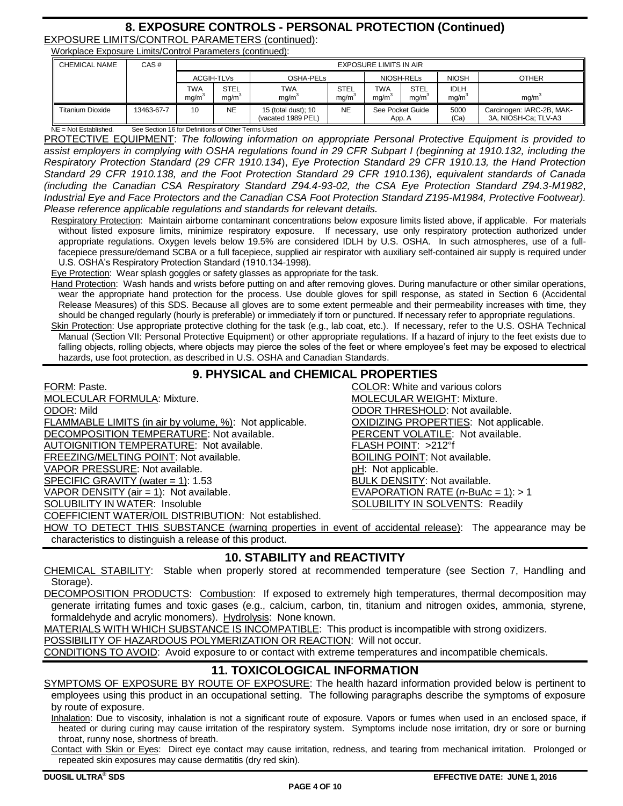# **8. EXPOSURE CONTROLS - PERSONAL PROTECTION (Continued)** EXPOSURE LIMITS/CONTROL PARAMETERS (continued):

Workplace Exposure Limits/Control Parameters (continued):

| <b>CHEMICAL NAME</b>    | CAS#       | <b>EXPOSURE LIMITS IN AIR</b> |                                  |                                           |                     |                            |                                  |                     |                                                   |
|-------------------------|------------|-------------------------------|----------------------------------|-------------------------------------------|---------------------|----------------------------|----------------------------------|---------------------|---------------------------------------------------|
|                         |            |                               | ACGIH-TLVs<br>OSHA-PELS          |                                           |                     | NIOSH-RELS                 |                                  | <b>NIOSH</b>        | <b>OTHER</b>                                      |
|                         |            | TWA<br>mq/m                   | <b>STEL</b><br>ma/m <sup>3</sup> | TWA<br>ma/m <sup>3</sup>                  | <b>STEL</b><br>ma/m | TWA<br>mg/m                | <b>STEL</b><br>ma/m <sup>3</sup> | <b>IDLH</b><br>mg/m | ma/m <sup>3</sup>                                 |
| <b>Titanium Dioxide</b> | 13463-67-7 | 10                            | <b>NE</b>                        | 15 (total dust); 10<br>(vacated 1989 PEL) | NE                  | See Pocket Guide<br>App. A |                                  | 5000<br>(Ca)        | Carcinogen: IARC-2B, MAK-<br>3A, NIOSH-Ca; TLV-A3 |

ee Section 16 for Definitions of Other Terms Used PROTECTIVE EQUIPMENT: *The following information on appropriate Personal Protective Equipment is provided to assist employers in complying with OSHA regulations found in 29 CFR Subpart I (beginning at 1910.132, including the Respiratory Protection Standard (29 CFR 1910.134*), *Eye Protection Standard 29 CFR 1910.13, the Hand Protection Standard 29 CFR 1910.138, and the Foot Protection Standard 29 CFR 1910.136), equivalent standards of Canada (including the Canadian CSA Respiratory Standard Z94.4-93-02, the CSA Eye Protection Standard Z94.3-M1982*,

*Industrial Eye and Face Protectors and the Canadian CSA Foot Protection Standard Z195-M1984, Protective Footwear). Please reference applicable regulations and standards for relevant details.*

Respiratory Protection: Maintain airborne contaminant concentrations below exposure limits listed above, if applicable. For materials without listed exposure limits, minimize respiratory exposure. If necessary, use only respiratory protection authorized under appropriate regulations. Oxygen levels below 19.5% are considered IDLH by U.S. OSHA. In such atmospheres, use of a fullfacepiece pressure/demand SCBA or a full facepiece, supplied air respirator with auxiliary self-contained air supply is required under U.S. OSHA's Respiratory Protection Standard (1910.134-1998).

Eye Protection: Wear splash goggles or safety glasses as appropriate for the task.

Hand Protection: Wash hands and wrists before putting on and after removing gloves. During manufacture or other similar operations, wear the appropriate hand protection for the process. Use double gloves for spill response, as stated in Section 6 (Accidental Release Measures) of this SDS. Because all gloves are to some extent permeable and their permeability increases with time, they should be changed regularly (hourly is preferable) or immediately if torn or punctured. If necessary refer to appropriate regulations.

Skin Protection: Use appropriate protective clothing for the task (e.g., lab coat, etc.). If necessary, refer to the U.S. OSHA Technical Manual (Section VII: Personal Protective Equipment) or other appropriate regulations. If a hazard of injury to the feet exists due to falling objects, rolling objects, where objects may pierce the soles of the feet or where employee's feet may be exposed to electrical hazards, use foot protection, as described in U.S. OSHA and Canadian Standards.

# **9. PHYSICAL and CHEMICAL PROPERTIES**

FORM: Paste. **COLOR: White and various colors** MOLECULAR FORMULA: Mixture. **MOLECULAR WEIGHT: Mixture.** MOLECULAR WEIGHT: Mixture. ODOR: Mild ODOR THRESHOLD: Not available. FLAMMABLE LIMITS (in air by volume, %): Not applicable. OXIDIZING PROPERTIES: Not applicable. DECOMPOSITION TEMPERATURE: Not available. PERCENT VOLATILE: Not available. AUTOIGNITION TEMPERATURE: Not available. FLASH POINT: >212°f FREEZING/MELTING POINT: Not available. BOILING POINT: Not available. VAPOR PRESSURE: Not available. **philopheral example and philopheral example of the philopheral example and philopheral example and philopheral example and philopheral example and philopheral example and philopheral example** SPECIFIC GRAVITY (water = 1): 1.53 BULK DENSITY: Not available. VAPOR DENSITY (air = 1): Not available. EVAPORATION RATE (*n*-BuAc = 1): > 1 COEFFICIENT WATER/OIL DISTRIBUTION: Not established.

SOLUBILITY IN SOLVENTS: Readily

HOW TO DETECT THIS SUBSTANCE (warning properties in event of accidental release): The appearance may be characteristics to distinguish a release of this product.

# **10. STABILITY and REACTIVITY**

CHEMICAL STABILITY: Stable when properly stored at recommended temperature (see Section 7, Handling and Storage).

DECOMPOSITION PRODUCTS: Combustion: If exposed to extremely high temperatures, thermal decomposition may generate irritating fumes and toxic gases (e.g., calcium, carbon, tin, titanium and nitrogen oxides, ammonia, styrene, formaldehyde and acrylic monomers). Hydrolysis: None known.

MATERIALS WITH WHICH SUBSTANCE IS INCOMPATIBLE: This product is incompatible with strong oxidizers.

POSSIBILITY OF HAZARDOUS POLYMERIZATION OR REACTION: Will not occur.

CONDITIONS TO AVOID: Avoid exposure to or contact with extreme temperatures and incompatible chemicals.

# **11. TOXICOLOGICAL INFORMATION**

SYMPTOMS OF EXPOSURE BY ROUTE OF EXPOSURE: The health hazard information provided below is pertinent to employees using this product in an occupational setting. The following paragraphs describe the symptoms of exposure by route of exposure.

Inhalation: Due to viscosity, inhalation is not a significant route of exposure. Vapors or fumes when used in an enclosed space, if heated or during curing may cause irritation of the respiratory system. Symptoms include nose irritation, dry or sore or burning throat, runny nose, shortness of breath.

Contact with Skin or Eyes: Direct eye contact may cause irritation, redness, and tearing from mechanical irritation. Prolonged or repeated skin exposures may cause dermatitis (dry red skin).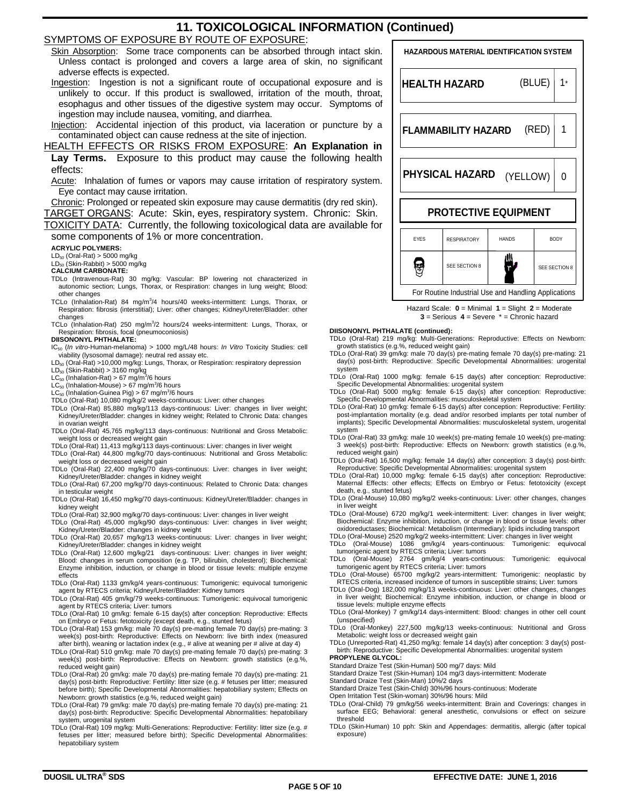# **11. TOXICOLOGICAL INFORMATION (Continued)**

### SYMPTOMS OF EXPOSURE BY ROUTE OF EXPOSURE:

Skin Absorption: Some trace components can be absorbed through intact skin. Unless contact is prolonged and covers a large area of skin, no significant adverse effects is expected.

Ingestion: Ingestion is not a significant route of occupational exposure and is unlikely to occur. If this product is swallowed, irritation of the mouth, throat, esophagus and other tissues of the digestive system may occur. Symptoms of ingestion may include nausea, vomiting, and diarrhea.

Injection: Accidental injection of this product, via laceration or puncture by a contaminated object can cause redness at the site of injection.

HEALTH EFFECTS OR RISKS FROM EXPOSURE: **An Explanation in Lay Terms.** Exposure to this product may cause the following health effects:

Acute: Inhalation of fumes or vapors may cause irritation of respiratory system. Eye contact may cause irritation.

Chronic: Prolonged or repeated skin exposure may cause dermatitis (dry red skin). TARGET ORGANS: Acute: Skin, eyes, respiratory system. Chronic: Skin. TOXICITY DATA: Currently, the following toxicological data are available for

some components of 1% or more concentration.

#### **ACRYLIC POLYMERS:**

LD<sub>50</sub> (Oral-Rat) > 5000 mg/kg<br>LD<sub>50</sub> (Skin-Rabbit) > 5000 mg/kg

- **CALCIUM CARBONATE:**
- TDLo (Intravenous-Rat) 30 mg/kg: Vascular: BP lowering not characterized in autonomic section; Lungs, Thorax, or Respiration: changes in lung weight; Blood: other changes
- TCLo (Inhalation-Rat) 84 mg/m<sup>3</sup>/4 hours/40 weeks-intermittent: Lungs, Thorax, or Respiration: fibrosis (interstitial); Liver: other changes; Kidney/Ureter/Bladder: other changes

TCLo (Inhalation-Rat) 250 mg/m<sup>3</sup>/2 hours/24 weeks-intermittent: Lungs, Thorax, or Respiration: fibrosis, focal (pneumoconiosis)

#### **DIISONONYL PHTHALATE:**

- IC<sup>50</sup> (*In vitro*-Human-melanoma) > 1000 mg/L/48 hours: *In Vitro* Toxicity Studies: cell viability (lysosomal damage): neutral red assay etc.
- LD<sub>50</sub> (Oral-Rat) >10,000 mg/kg: Lungs, Thorax, or Respiration: respiratory depression
- LD<sub>50</sub> (Skin-Rabbit) > 3160 mg/kg<br>LC<sub>50</sub> (Inhalation-Rat) > 67 mg/m<sup>3</sup>/6 hours
- 
- LC<sub>50</sub> (Inhalation-Mouse) > 67 mg/m<sup>3</sup>/6 hours<br>LC<sub>50</sub> (Inhalation-Guinea Pig) > 67 mg/m<sup>3</sup>/6 hours
- TDLo (Oral-Rat) 10,080 mg/kg/2 weeks-continuous: Liver: other changes
- TDLo (Oral-Rat) 85,880 mg/kg/113 days-continuous: Liver: changes in liver weight; Kidney/Ureter/Bladder: changes in kidney weight; Related to Chronic Data: changes in ovarian weight
- TDLo (Oral-Rat) 45,765 mg/kg/113 days-continuous: Nutritional and Gross Metabolic: weight loss or decreased weight gain TDLo (Oral-Rat) 11,413 mg/kg/113 days-continuous: Liver: changes in liver weight
- 
- TDLo (Oral-Rat) 44,800 mg/kg/70 days-continuous: Nutritional and Gross Metabolic: weight loss or decreased weight gain
- TDLo (Oral-Rat) 22,400 mg/kg/70 days-continuous: Liver: changes in liver weight; Kidney/Ureter/Bladder: changes in kidney weight TDLo (Oral-Rat) 67,200 mg/kg/70 days-continuous: Related to Chronic Data: changes
- in testicular weight TDLo (Oral-Rat) 16,450 mg/kg/70 days-continuous: Kidney/Ureter/Bladder: changes in
- kidney weight TDLo (Oral-Rat) 32,900 mg/kg/70 days-continuous: Liver: changes in liver weight
- TDLo (Oral-Rat) 45,000 mg/kg/90 days-continuous: Liver: changes in liver weight; Kidney/Ureter/Bladder: changes in kidney weight
- TDLo (Oral-Rat) 20,657 mg/kg/13 weeks-continuous: Liver: changes in liver weight; Kidney/Ureter/Bladder: changes in kidney weight
- TDLo (Oral-Rat) 12,600 mg/kg/21 days-continuous: Liver: changes in liver weight; Blood: changes in serum composition (e.g. TP, bilirubin, cholesterol); Biochemical: Enzyme inhibition, induction, or change in blood or tissue levels: multiple enzyme effects
- TDLo (Oral-Rat) 1133 gm/kg/4 years-continuous: Tumorigenic: equivocal tumorigenic agent by RTECS criteria; Kidney/Ureter/Bladder: Kidney tumors
- TDLo (Oral-Rat) 405 gm/kg/79 weeks-continuous: Tumorigenic: equivocal tumorigenic agent by RTECS criteria; Liver: tumors
- TDLo (Oral-Rat) 10 gm/kg: female 6-15 day(s) after conception: Reproductive: Effects on Embryo or Fetus: fetotoxicity (except death, e.g., stunted fetus)
- TDLo (Oral-Rat) 153 gm/kg: male 70 day(s) pre-mating female 70 day(s) pre-mating: 3 week(s) post-birth: Reproductive: Effects on Newborn: live birth index (measured after birth), weaning or lactation index (e.g., # alive at weaning per # alive at day 4)
- TDLo (Oral-Rat) 510 gm/kg: male 70 day(s) pre-mating female 70 day(s) pre-mating: 3 week(s) post-birth: Reproductive: Effects on Newborn: growth statistics (e.g.%, reduced weight gain)
- TDLo (Oral-Rat) 20 gm/kg: male 70 day(s) pre-mating female 70 day(s) pre-mating: 21 day(s) post-birth: Reproductive: Fertility: litter size (e.g. # fetuses per litter; measured before birth); Specific Developmental Abnormalities: hepatobiliary system; Effects on Newborn: growth statistics (e.g.%, reduced weight gain)
- TDLo (Oral-Rat) 79 gm/kg: male 70 day(s) pre-mating female 70 day(s) pre-mating: 21 day(s) post-birth: Reproductive: Specific Developmental Abnormalities: hepatobiliary system, urogenital system
- TDLo (Oral-Rat) 109 mg/kg: Multi-Generations: Reproductive: Fertility: litter size (e.g. # fetuses per litter; measured before birth); Specific Developmental Abnormalities: hepatobiliary system



Hazard Scale: **0** = Minimal **1** = Slight **2** = Moderate **3** = Serious **4** = Severe \* = Chronic hazard

#### **DIISONONYL PHTHALATE (continued):**

TDLo (Oral-Rat) 219 mg/kg: Multi-Generations: Reproductive: Effects on Newborn: growth statistics (e.g.%, reduced weight gain)

- TDLo (Oral-Rat) 39 gm/kg: male 70 day(s) pre-mating female 70 day(s) pre-mating: 21 day(s) post-birth: Reproductive: Specific Developmental Abnormalities: urogenital system
- TDLo (Oral-Rat) 1000 mg/kg: female 6-15 day(s) after conception: Reproductive: Specific Developmental Abnormalities: urogenital system
- TDLo (Oral-Rat) 5000 mg/kg: female 6-15 day(s) after conception: Reproductive: Specific Developmental Abnormalities: musculoskeletal system
- TDLo (Oral-Rat) 10 gm/kg: female 6-15 day(s) after conception: Reproductive: Fertility: post-implantation mortality (e.g. dead and/or resorbed implants per total number of implants); Specific Developmental Abnormalities: musculoskeletal system, urogenital system
- TDLo (Oral-Rat) 33 gm/kg: male 10 week(s) pre-mating female 10 week(s) pre-mating: 3 week(s) post-birth: Reproductive: Effects on Newborn: growth statistics (e.g.%, reduced weight gain)
- TDLo (Oral-Rat) 16,500 mg/kg: female 14 day(s) after conception: 3 day(s) post-birth: Reproductive: Specific Developmental Abnormalities: urogenital system
- TDLo (Oral-Rat) 10,000 mg/kg: female 6-15 day(s) after conception: Reproductive: Maternal Effects: other effects; Effects on Embryo or Fetus: fetotoxicity (except death, e.g., stunted fetus)
- TDLo (Oral-Mouse) 10,080 mg/kg/2 weeks-continuous: Liver: other changes, changes in liver weight
- TDLo (Oral-Mouse) 6720 mg/kg/1 week-intermittent: Liver: changes in liver weight; Biochemical: Enzyme inhibition, induction, or change in blood or tissue levels: other oxidoreductases; Biochemical: Metabolism (Intermediary): lipids including transport

TDLo (Oral-Mouse) 2520 mg/kg/2 weeks-intermittent: Liver: changes in liver weight

- TDLo (Oral-Mouse) 1086 gm/kg/4 years-continuous: Tumorigenic: equivocal<br>tumorigenic.agent.by.RTECS.criteria; Liver: tumors<br>TDLo (Oral-Mouse) 2764 gm/kg/4 years-continuous: Tumorigenic: equivocal<br>tumorigenic.agent.by.RTECS.
- TDLo (Oral-Mouse) 65700 mg/kg/2 years-intermittent: Tumorigenic: neoplastic by RTECS criteria, increased incidence of tumors in susceptible strains; Liver: tumors
- TDLo (Oral-Dog) 182,000 mg/kg/13 weeks-continuous: Liver: other changes, changes in liver weight; Biochemical: Enzyme inhibition, induction, or change in blood or
- tissue levels: multiple enzyme effects TDLo (Oral-Monkey) 7 gm/kg/14 days-intermittent: Blood: changes in other cell count (unspecified)
- TDLo (Oral-Monkey) 227,500 mg/kg/13 weeks-continuous: Nutritional and Gross Metabolic: weight loss or decreased weight gain TDLo (Unreported-Rat) 41,250 mg/kg: female 14 day(s) after conception: 3 day(s) post-

birth: Reproductive: Specific Developmental Abnormalities: urogenital system

**PROPYLENE GLYCOL:** Standard Draize Test (Skin-Human) 500 mg/7 days: Mild

- Standard Draize Test (Skin-Human) 104 mg/3 days-intermittent: Moderate
- Standard Draize Test (Skin-Man) 10%/2 days
- 
- Standard Draize Test (Skin-Child) 30%/96 hours-continuous: Moderate Open Irritation Test (Skin-woman) 30%/96 hours: Mild
- TDLo (Oral-Child) 79 gm/kg/56 weeks-intermittent: Brain and Coverings: changes in surface EEG; Behavioral: general anesthetic, convulsions or effect on seizure threshold
- TDLo (Skin-Human) 10 pph: Skin and Appendages: dermatitis, allergic (after topical exposure)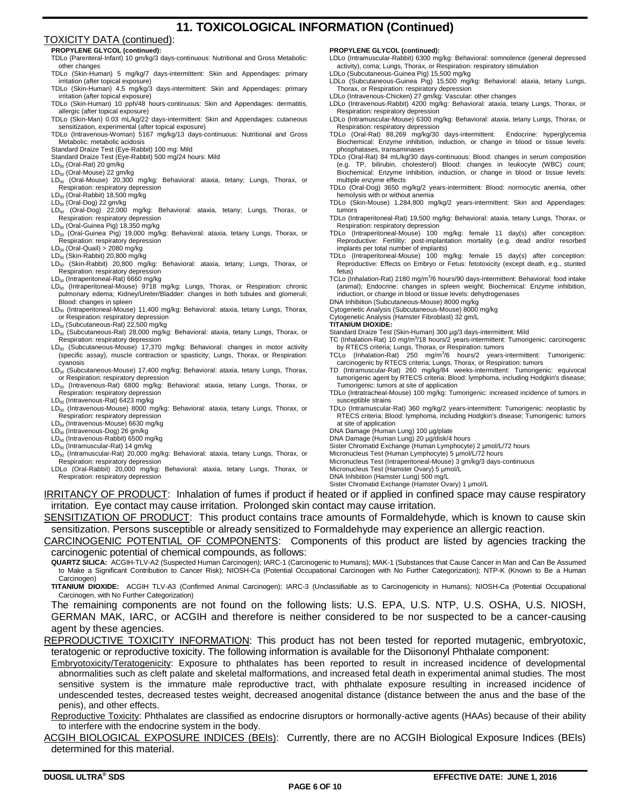# **11. TOXICOLOGICAL INFORMATION (Continued)**

### TOXICITY DATA (continued):

### **PROPYLENE GLYCOL (continued):**

- TDLo (Parenteral-Infant) 10 gm/kg/3 days-continuous: Nutritional and Gross Metabolic: other changes
- TDLo (Skin-Human) 5 mg/kg/7 days-intermittent: Skin and Appendages: primary irritation (after topical exposure)
- TDLo (Skin-Human) 4.5 mg/kg/3 days-intermittent: Skin and Appendages: primary irritation (after topical exposure)
- TDLo (Skin-Human) 10 pph/48 hours-continuous: Skin and Appendages: dermatitis, allergic (after topical exposure)
- TDLo (Skin-Man) 0.03 mL/kg/22 days-intermittent: Skin and Appendages: cutaneous sensitization, experimental (after topical exposure)
- TDLo (Intravenous-Woman) 5167 mg/kg/13 days-continuous: Nutritional and Gross Metabolic: metabolic acidosis
- Standard Draize Test (Eye-Rabbit) 100 mg: Mild
- Standard Draize Test (Eye-Rabbit) 500 mg/24 hours: Mild LD<sub>50</sub> (Oral-Rat) 20 gm/kg
- LD<sub>50</sub> (Oral-Mouse) 22 gm/kg
- LD<sub>50</sub> (Oral-Mouse) 20,300 mg/kg: Behavioral: ataxia, tetany; Lungs, Thorax, or Respiration: respiratory depression
- LD<sub>50</sub> (Oral-Rabbit) 18,500 mg/kg
- LD<sub>50</sub> (Oral-Dog) 22 gm/kg
- $LD_{50}$  (Oral-Dog) 22,000 mg/kg: Behavioral: ataxia, tetany; Lungs, Thorax, or Respiration: respiratory depression
- LD<sub>50</sub> (Oral-Guinea Pig) 18,350 mg/kg LD<sub>50</sub> (Oral-Guinea Pig) 19,000 mg/kg: Behavioral: ataxia, tetany Lungs, Thorax, or Respiration: respiratory depression
- $LD_{50}$  (Oral-Quail) > 2080 mg/kg
- $LD_{50}$  (Skin-Rabbit) 20,800 mg/kg
- LD<sup>50</sup> (Skin-Rabbit) 20,800 mg/kg: Behavioral: ataxia, tetany; Lungs, Thorax, or Respiration: respiratory depression
- LD<sub>50</sub> (Intraperitoneal-Rat) 6660 mg/kg
- LD<sub>50</sub> (Intraperitoneal-Mouse) 9718 mg/kg: Lungs, Thorax, or Respiration: chronic pulmonary edema; Kidney/Ureter/Bladder: changes in both tubules and glomeruli: Blood: changes in spleen
- LD<sub>50</sub> (Intraperitoneal-Mouse) 11,400 mg/kg: Behavioral: ataxia, tetany Lungs, Thorax, or Respiration: respiratory depression
- LD<sub>50</sub> (Subcutaneous-Rat) 22,500 mg/kg
- LD<sub>50</sub> (Subcutaneous-Rat) 28,000 mg/kg: Behavioral: ataxia, tetany Lungs, Thorax, or Respiration: respiratory depression
- LD<sub>50</sub> (Subcutaneous-Mouse) 17,370 mg/kg: Behavioral: changes in motor activity (specific assay), muscle contraction or spasticity; Lungs, Thorax, or Respiration: cyanosis
- LD<sub>50</sub> (Subcutaneous-Mouse) 17,400 mg/kg: Behavioral: ataxia, tetany Lungs, Thorax, or Respiration: respiratory depression
- LD<sub>50</sub> (Intravenous-Rat) 6800 mg/kg: Behavioral: ataxia, tetany Lungs, Thorax, or Respiration: respiratory depression LD<sup>50</sup> (Intravenous-Rat) 6423 mg/kg
- LD<sub>50</sub> (Intravenous-Mouse) 8000 mg/kg: Behavioral: ataxia, tetany Lungs, Thorax, or Respiration: respiratory depression
- LD<sub>50</sub> (Intravenous-Mouse) 6630 mg/kg
- LD<sub>50</sub> (Intravenous-Dog) 26 gm/kg
- LD<sub>50</sub> (Intravenous-Rabbit) 6500 mg/kg
- LD<sub>50</sub> (Intramuscular-Rat) 14 gm/kg
- LD<sub>50</sub> (Intramuscular-Rat) 20,000 mg/kg: Behavioral: ataxia, tetany Lungs, Thorax, or Respiration: respiratory depression
- LDLo (Oral-Rabbit) 20,000 mg/kg: Behavioral: ataxia, tetany Lungs, Thorax, or Respiration: respiratory depression

#### **PROPYLENE GLYCOL (continued):**

- LDLo (Intramuscular-Rabbit) 6300 mg/kg: Behavioral: somnolence (general depressed activity), coma; Lungs, Thorax, or Respiration: respiratory stimulation
- LDLo (Subcutaneous-Guinea Pig) 15,500 mg/kg
- LDLo (Subcutaneous-Guinea Pig) 15,500 mg/kg: Behavioral: ataxia, tetany Lungs, Thorax, or Respiration: respiratory depression
- LDLo (Intravenous-Chicken) 27 gm/kg: Vascular: other changes
- LDLo (Intravenous-Rabbit) 4200 mg/kg: Behavioral: ataxia, tetany Lungs, Thorax, or Respiration: respiratory depression
- LDLo (Intramuscular-Mouse) 6300 mg/kg: Behavioral: ataxia, tetany Lungs, Thorax, or Respiration: respiratory depression
- TDLo (Oral-Rat) 88,269 mg/kg/30 days-intermittent: Endocrine: hyperglycemia Biochemical: Enzyme inhibition, induction, or change in blood or tissue levels: phosphatases, transaminases
- TDLo (Oral-Rat) 84 mL/kg/30 days-continuous: Blood: changes in serum composition (e.g. TP, bilirubin, cholesterol) Blood: changes in leukocyte (WBC) count; Biochemical: Enzyme inhibition, induction, or change in blood or tissue levels: multiple enzyme effects
- TDLo (Oral-Dog) 3650 mg/kg/2 years-intermittent: Blood: normocytic anemia, other hemolysis with or without anemia
- TDLo (Skin-Mouse) 1,284,800 mg/kg/2 years-intermittent: Skin and Appendages: tumors
- TDLo (Intraperitoneal-Rat) 19,500 mg/kg: Behavioral: ataxia, tetany Lungs, Thorax, or Respiration: respiratory depression
- TDLo (Intraperitoneal-Mouse) 100 mg/kg: female 11 day(s) after conception: Reproductive: Fertility: post-implantation mortality (e.g. dead and/or resorbed implants per total number of implants)
- TDLo (Intraperitoneal-Mouse) 100 mg/kg: female 15 day(s) after conception: Reproductive: Effects on Embryo or Fetus: fetotoxicity (except death, e.g., stunted fetus)
- TCLo (Inhalation-Rat) 2180 mg/m<sup>3</sup>/6 hours/90 days-intermittent: Behavioral: food intake (animal); Endocrine: changes in spleen weight; Biochemical: Enzyme inhibition, induction, or change in blood or tissue levels: dehydrogenases
- DNA Inhibition (Subcutaneous-Mouse) 8000 mg/kg
- Cytogenetic Analysis (Subcutaneous-Mouse) 8000 mg/kg

Cytogenetic Analysis (Hamster Fibroblast) 32 gm/L

#### **TITANIUM DIOXIDE:**

- Standard Draize Test (Skin-Human) 300 µg/3 days-intermittent: Mild
- TC (Inhalation-Rat) 10 mg/m<sup>3</sup>/18 hours/2 years-intermittent: Tumorigenic: carcinogenic<br>by RTECS criteria; Lungs, Thorax, or Respiration: tumors<br>TCLo (Inhalation-Rat) 250 mg/m<sup>3</sup>/6 hours/2 years-intermittent: Tumorigenic:
- carcinogenic by RTECS criteria; Lungs, Thorax, or Respiration: tumors
- TD (Intramuscular-Rat) 260 mg/kg/84 weeks-intermittent: Tumorigenic: equivocal tumorigenic agent by RTECS criteria; Blood: lymphoma, including Hodgkin's disease; Tumorigenic: tumors at site of application
- TDLo (Intratracheal-Mouse) 100 mg/kg: Tumorigenic: increased incidence of tumors in susceptible strains
- TDLo (Intramuscular-Rat) 360 mg/kg/2 years-intermittent: Tumorigenic: neoplastic by RTECS criteria; Blood: lymphoma, including Hodgkin's disease; Tumorigenic: tumors at site of application
- DNA Damage (Human Lung) 100 µg/plate
- DNA Damage (Human Lung) 20 µg/disk/4 hours
- Sister Chromatid Exchange (Human Lymphocyte) 2 µmol/L/72 hours
- Micronucleus Test (Human Lymphocyte) 5 µmol/L/72 hours
- Micronucleus Test (Intraperitoneal-Mouse) 3 gm/kg/3 days-continuous
- Micronucleus Test (Hamster Ovary) 5 µmol/L DNA Inhibition (Hamster Lung) 500 mg/L
	-

IRRITANCY OF PRODUCT: Inhalation of fumes if product if heated or if applied in confined space may cause respiratory irritation. Eye contact may cause irritation. Prolonged skin contact may cause irritation.

SENSITIZATION OF PRODUCT: This product contains trace amounts of Formaldehyde, which is known to cause skin sensitization. Persons susceptible or already sensitized to Formaldehyde may experience an allergic reaction.

CARCINOGENIC POTENTIAL OF COMPONENTS: Components of this product are listed by agencies tracking the carcinogenic potential of chemical compounds, as follows:

**QUARTZ SILICA:** ACGIH-TLV-A2 (Suspected Human Carcinogen); IARC-1 (Carcinogenic to Humans); MAK-1 (Substances that Cause Cancer in Man and Can Be Assumed to Make a Significant Contribution to Cancer Risk); NIOSH-Ca (Potential Occupational Carcinogen with No Further Categorization); NTP-K (Known to Be a Human Carcinogen)

**TITANIUM DIOXIDE:** ACGIH TLV-A3 (Confirmed Animal Carcinogen); IARC-3 (Unclassifiable as to Carcinogenicity in Humans); NIOSH-Ca (Potential Occupational Carcinogen, with No Further Categorization)

The remaining components are not found on the following lists: U.S. EPA, U.S. NTP, U.S. OSHA, U.S. NIOSH, GERMAN MAK, IARC, or ACGIH and therefore is neither considered to be nor suspected to be a cancer-causing agent by these agencies.

REPRODUCTIVE TOXICITY INFORMATION: This product has not been tested for reported mutagenic, embryotoxic, teratogenic or reproductive toxicity. The following information is available for the Diisononyl Phthalate component:

Embryotoxicity/Teratogenicity: Exposure to phthalates has been reported to result in increased incidence of developmental abnormalities such as cleft palate and skeletal malformations, and increased fetal death in experimental animal studies. The most sensitive system is the immature male reproductive tract, with phthalate exposure resulting in increased incidence of undescended testes, decreased testes weight, decreased anogenital distance (distance between the anus and the base of the penis), and other effects.

Reproductive Toxicity: Phthalates are classified as endocrine disruptors or hormonally-active agents (HAAs) because of their ability to interfere with the endocrine system in the body.

ACGIH BIOLOGICAL EXPOSURE INDICES (BEIs): Currently, there are no ACGIH Biological Exposure Indices (BEIs) determined for this material.

# Sister Chromatid Exchange (Hamster Ovary) 1 µmol/L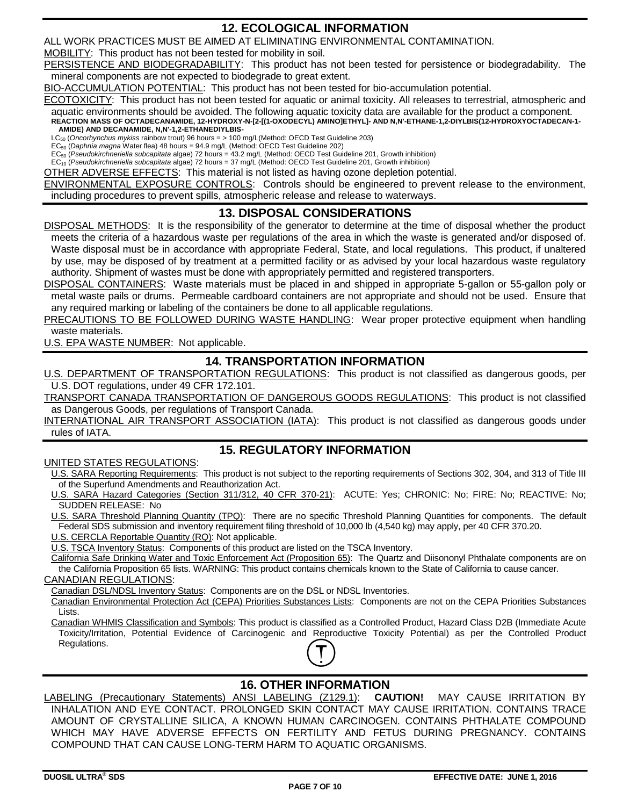# **12. ECOLOGICAL INFORMATION**

ALL WORK PRACTICES MUST BE AIMED AT ELIMINATING ENVIRONMENTAL CONTAMINATION.

MOBILITY: This product has not been tested for mobility in soil.

PERSISTENCE AND BIODEGRADABILITY: This product has not been tested for persistence or biodegradability. The mineral components are not expected to biodegrade to great extent.

BIO-ACCUMULATION POTENTIAL: This product has not been tested for bio-accumulation potential.

ECOTOXICITY: This product has not been tested for aquatic or animal toxicity. All releases to terrestrial, atmospheric and aquatic environments should be avoided. The following aquatic toxicity data are available for the product a component.

**REACTION MASS OF OCTADECANAMIDE, 12-HYDROXY-N-[2-[(1-OXODECYL) AMINO]ETHYL]- AND N,N'-ETHANE-1,2-DIYLBIS(12-HYDROXYOCTADECAN-1- AMIDE) AND DECANAMIDE, N,N'-1,2-ETHANEDIYLBIS-**

LC<sup>50</sup> (*Oncorhynchus mykiss* rainbow trout) 96 hours = > 100 mg/L(Method: OECD Test Guideline 203)

EC<sup>50</sup> (*Daphnia magna* Water flea) 48 hours = 94.9 mg/L (Method: OECD Test Guideline 202)

EC<sup>50</sup> (*Pseudokirchneriella subcapitata* algae) 72 hours = 43.2 mg/L (Method: OECD Test Guideline 201, Growth inhibition) EC<sup>10</sup> (*Pseudokirchneriella subcapitata* algae) 72 hours = 37 mg/L (Method: OECD Test Guideline 201, Growth inhibition)

OTHER ADVERSE EFFECTS: This material is not listed as having ozone depletion potential.

ENVIRONMENTAL EXPOSURE CONTROLS: Controls should be engineered to prevent release to the environment, including procedures to prevent spills, atmospheric release and release to waterways.

## **13. DISPOSAL CONSIDERATIONS**

DISPOSAL METHODS: It is the responsibility of the generator to determine at the time of disposal whether the product meets the criteria of a hazardous waste per regulations of the area in which the waste is generated and/or disposed of. Waste disposal must be in accordance with appropriate Federal, State, and local regulations. This product, if unaltered by use, may be disposed of by treatment at a permitted facility or as advised by your local hazardous waste regulatory authority. Shipment of wastes must be done with appropriately permitted and registered transporters.

DISPOSAL CONTAINERS: Waste materials must be placed in and shipped in appropriate 5-gallon or 55-gallon poly or metal waste pails or drums. Permeable cardboard containers are not appropriate and should not be used. Ensure that any required marking or labeling of the containers be done to all applicable regulations.

PRECAUTIONS TO BE FOLLOWED DURING WASTE HANDLING: Wear proper protective equipment when handling waste materials.

U.S. EPA WASTE NUMBER: Not applicable.

# **14. TRANSPORTATION INFORMATION**

U.S. DEPARTMENT OF TRANSPORTATION REGULATIONS: This product is not classified as dangerous goods, per U.S. DOT regulations, under 49 CFR 172.101.

TRANSPORT CANADA TRANSPORTATION OF DANGEROUS GOODS REGULATIONS: This product is not classified as Dangerous Goods, per regulations of Transport Canada.

INTERNATIONAL AIR TRANSPORT ASSOCIATION (IATA): This product is not classified as dangerous goods under rules of IATA.

# **15. REGULATORY INFORMATION**

### UNITED STATES REGULATIONS:

U.S. SARA Reporting Requirements: This product is not subject to the reporting requirements of Sections 302, 304, and 313 of Title III of the Superfund Amendments and Reauthorization Act.

U.S. SARA Hazard Categories (Section 311/312, 40 CFR 370-21): ACUTE: Yes; CHRONIC: No; FIRE: No; REACTIVE: No; SUDDEN RELEASE: No

U.S. SARA Threshold Planning Quantity (TPQ): There are no specific Threshold Planning Quantities for components. The default Federal SDS submission and inventory requirement filing threshold of 10,000 lb (4,540 kg) may apply, per 40 CFR 370.20.

U.S. CERCLA Reportable Quantity (RQ): Not applicable.

U.S. TSCA Inventory Status: Components of this product are listed on the TSCA Inventory.

California Safe Drinking Water and Toxic Enforcement Act (Proposition 65): The Quartz and Diisononyl Phthalate components are on the California Proposition 65 lists. WARNING: This product contains chemicals known to the State of California to cause cancer.

### CANADIAN REGULATIONS:

Canadian DSL/NDSL Inventory Status: Components are on the DSL or NDSL Inventories.

Canadian Environmental Protection Act (CEPA) Priorities Substances Lists: Components are not on the CEPA Priorities Substances Lists.

Canadian WHMIS Classification and Symbols: This product is classified as a Controlled Product, Hazard Class D2B (Immediate Acute Toxicity/Irritation, Potential Evidence of Carcinogenic and Reproductive Toxicity Potential) as per the Controlled Product Regulations.



# **16. OTHER INFORMATION**

LABELING (Precautionary Statements) ANSI LABELING (Z129.1): **CAUTION!** MAY CAUSE IRRITATION BY INHALATION AND EYE CONTACT. PROLONGED SKIN CONTACT MAY CAUSE IRRITATION. CONTAINS TRACE AMOUNT OF CRYSTALLINE SILICA, A KNOWN HUMAN CARCINOGEN. CONTAINS PHTHALATE COMPOUND WHICH MAY HAVE ADVERSE EFFECTS ON FERTILITY AND FETUS DURING PREGNANCY. CONTAINS COMPOUND THAT CAN CAUSE LONG-TERM HARM TO AQUATIC ORGANISMS.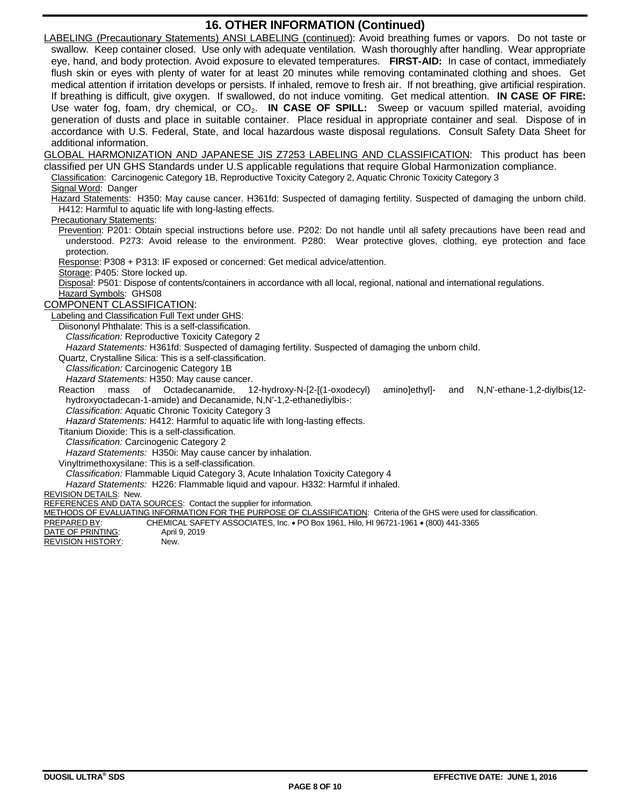# **16. OTHER INFORMATION (Continued)**

LABELING (Precautionary Statements) ANSI LABELING (continued): Avoid breathing fumes or vapors. Do not taste or swallow. Keep container closed. Use only with adequate ventilation. Wash thoroughly after handling. Wear appropriate eye, hand, and body protection. Avoid exposure to elevated temperatures. **FIRST-AID:** In case of contact, immediately flush skin or eyes with plenty of water for at least 20 minutes while removing contaminated clothing and shoes. Get medical attention if irritation develops or persists. If inhaled, remove to fresh air. If not breathing, give artificial respiration. If breathing is difficult, give oxygen. If swallowed, do not induce vomiting. Get medical attention. **IN CASE OF FIRE:** Use water fog, foam, dry chemical, or CO<sub>2</sub>. **IN CASE OF SPILL:** Sweep or vacuum spilled material, avoiding generation of dusts and place in suitable container. Place residual in appropriate container and seal. Dispose of in accordance with U.S. Federal, State, and local hazardous waste disposal regulations. Consult Safety Data Sheet for additional information.

GLOBAL HARMONIZATION AND JAPANESE JIS Z7253 LABELING AND CLASSIFICATION: This product has been classified per UN GHS Standards under U.S applicable regulations that require Global Harmonization compliance.

Classification: Carcinogenic Category 1B, Reproductive Toxicity Category 2, Aquatic Chronic Toxicity Category 3

### Signal Word: Danger

Hazard Statements: H350: May cause cancer. H361fd: Suspected of damaging fertility. Suspected of damaging the unborn child. H412: Harmful to aquatic life with long-lasting effects.

### Precautionary Statements:

Prevention: P201: Obtain special instructions before use. P202: Do not handle until all safety precautions have been read and understood. P273: Avoid release to the environment. P280: Wear protective gloves, clothing, eye protection and face protection.

Response: P308 + P313: IF exposed or concerned: Get medical advice/attention.

Storage: P405: Store locked up.

Disposal: P501: Dispose of contents/containers in accordance with all local, regional, national and international regulations. Hazard Symbols: GHS08

### COMPONENT CLASSIFICATION:

Labeling and Classification Full Text under GHS:

Diisononyl Phthalate: This is a self-classification.

*Classification:* Reproductive Toxicity Category 2

*Hazard Statements:* H361fd: Suspected of damaging fertility. Suspected of damaging the unborn child.

Quartz, Crystalline Silica: This is a self-classification.

*Classification:* Carcinogenic Category 1B

*Hazard Statements:* H350: May cause cancer.

Reaction mass of Octadecanamide, 12-hydroxy-N-[2-[(1-oxodecyl) amino]ethyl]- and N,N'-ethane-1,2-diylbis(12 hydroxyoctadecan-1-amide) and Decanamide, N,N'-1,2-ethanediylbis-:

*Classification:* Aquatic Chronic Toxicity Category 3

*Hazard Statements:* H412: Harmful to aquatic life with long-lasting effects.

Titanium Dioxide: This is a self-classification.

*Classification:* Carcinogenic Category 2

*Hazard Statements:* H350i: May cause cancer by inhalation.

Vinyltrimethoxysilane: This is a self-classification.

*Classification:* Flammable Liquid Category 3, Acute Inhalation Toxicity Category 4

*Hazard Statements:* H226: Flammable liquid and vapour. H332: Harmful if inhaled.

### REVISION DETAILS: New.

REFERENCES AND DATA SOURCES: Contact the supplier for information.

METHODS OF EVALUATING INFORMATION FOR THE PURPOSE OF CLASSIFICATION: Criteria of the GHS were used for classification.

PREPARED BY: CHEMICAL SAFETY ASSOCIATES, Inc. PO Box 1961, Hilo, HI 96721-1961 (800) 441-3365

**DATE OF PRINTING:** April 9, 2019<br>REVISION HISTORY: New REVISION HISTORY: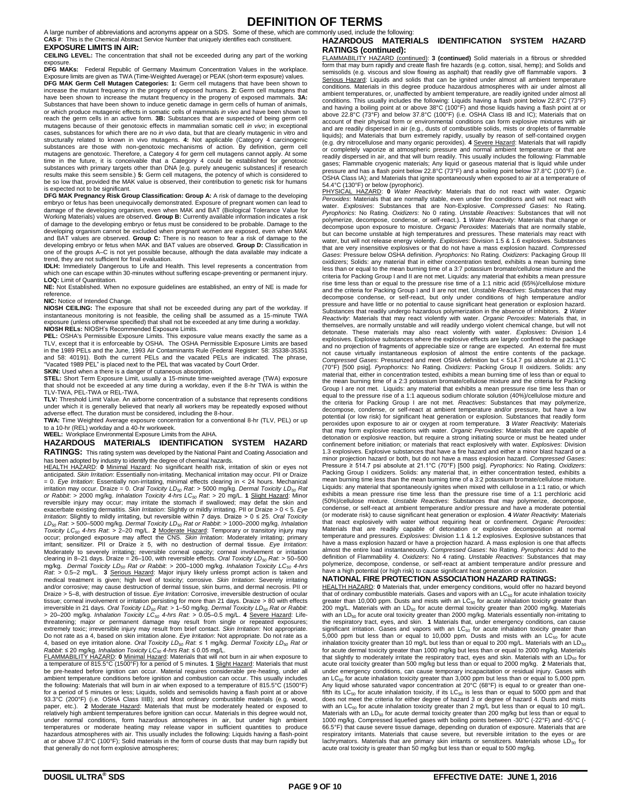# **DEFINITION OF TERMS**

A large number of abbreviations and acronyms appear on a SDS. Some of these, which are commonly used, include the following: **CAS #**: This is the Chemical Abstract Service Number that uniquely identifies each constituent.

#### **EXPOSURE LIMITS IN AIR:**

**CEILING LEVEL:** The concentration that shall not be exceeded during any part of the working exposure.

**DFG MAKs:** Federal Republic of Germany Maximum Concentration Values in the workplace. Exposure limits are given as TWA (Time-Weighted Average) or PEAK (short-term exposure) values. **DFG MAK Germ Cell Mutagen Categories: 1:** Germ cell mutagens that have been shown to increase the mutant frequency in the progeny of exposed humans. **2:** Germ cell mutagens that have been shown to increase the mutant frequency in the progeny of exposed mammals. **3A:** Substances that have been shown to induce genetic damage in germ cells of human of animals, or which produce mutagenic effects in somatic cells of mammals *in vivo* and have been shown to reach the germ cells in an active form. **3B:** Substances that are suspected of being germ cell mutagens because of their genotoxic effects in mammalian somatic cell *in vivo*; in exceptional cases, substances for which there are no *in vivo* data, but that are clearly mutagenic in vitro and structurally related to known in vivo mutagens. **4:** Not applicable (Category 4 carcinogenic substances are those with non-genotoxic mechanisms of action. By definition, germ cell mutagens are genotoxic. Therefore, a Category 4 for germ cell mutagens cannot apply. At some<br>time in the future, it is conceivable that a Category 4 could be established for genotoxic<br>substances with primary targets other be so low that, provided the MAK value is observed, their contribution to genetic risk for humans is expected not to be significant.

**DFG MAK Pregnancy Risk Group Classification: Group A:** A risk of damage to the developing embryo or fetus has been unequivocally demonstrated. Exposure of pregnant women can lead to damage of the developing organism, even when MAK and BAT (Biological Tolerance Value for Working Materials) values are observed. **Group B:** Currently available information indicates a risk of damage to the developing embryo or fetus must be considered to be probable. Damage to the developing organism cannot be excluded when pregnant women are exposed, even when MAK and BAT values are observed. **Group C:** There is no reason to fear a risk of damage to the developing embryo or fetus when MAK and BAT values are observed. **Group D:** Classification in one of the groups A–C is not yet possible because, although the data available may indicate a trend, they are not sufficient for final evaluation.

**IDLH:** Immediately Dangerous to Life and Health. This level represents a concentration from which one can escape within 30-minutes without suffering escape-preventing or permanent injury. **LOQ:** Limit of Quantitation.

**NE:** Not Established. When no exposure guidelines are established, an entry of NE is made for reference.

#### **NIC:** Notice of Intended Change.

**NIOSH CEILING:** The exposure that shall not be exceeded during any part of the workday. If instantaneous monitoring is not feasible, the ceiling shall be assumed as a 15-minute TWA exposure (unless otherwise specified) that shall not be exceeded at any time during a workday.

**NIOSH RELs:** NIOSH's Recommended Exposure Limits. **PEL:** OSHA's Permissible Exposure Limits. This exposure value means exactly the same as a TLV, except that it is enforceable by OSHA. The OSHA Permissible Exposure Limits are based in the 1989 PELs and the June, 1993 Air Contaminants Rule (Federal Register: 58: 35338-35351 and 58: 40191). Both the current PELs and the vacated PELs are indicated. The phrase, "Vacated 1989 PEL" is placed next to the PEL that was vacated by Court Order.

**SKIN:** Used when a there is a danger of cutaneous absorption.

**STEL:** Short Term Exposure Limit, usually a 15-minute time-weighted average (TWA) exposure that should not be exceeded at any time during a workday, even if the 8-hr TWA is within the TLV-TWA, PEL-TWA or REL-TWA.

**TLV:** Threshold Limit Value. An airborne concentration of a substance that represents conditions under which it is generally believed that nearly all workers may be repeatedly exposed without adverse effect. The duration must be considered, including the 8-hour.

**TWA:** Time Weighted Average exposure concentration for a conventional 8-hr (TLV, PEL) or up to a 10-hr (REL) workday and a 40-hr workweek.

#### **WEEL:** Workplace Environmental Exposure Limits from the AIHA. **HAZARDOUS MATERIALS IDENTIFICATION SYSTEM HAZARD**

**RATINGS:** This rating system was developed by the National Paint and Coating Association and

has been adopted by industry to identify the degree of chemical hazards. HEALTH HAZARD: **0** Minimal Hazard: No significant health risk, irritation of skin or eyes not anticipated. *Skin Irritation*: Essentially non-irritating. Mechanical irritation may occur. PII or Draize = 0. *Eye Irritation*: Essentially non-irritating, minimal effects clearing in < 24 hours. Mechanical irritation may occur. Draize = 0. *Oral Toxicity LD<sup>50</sup> Rat*: > 5000 mg/kg. *Dermal Toxicity LD<sup>50</sup> Rat or Rabbit*: > 2000 mg/kg. *Inhalation Toxicity 4-hrs LC<sup>50</sup> Rat*: > 20 mg/L. **1** Slight Hazard: Minor reversible injury may occur; may irritate the stomach if swallowed; may defat the skin and exacerbate existing dermatitis. *Skin Irritation*: Slightly or mildly irritating. PII or Draize > 0 < 5. *Eye*  Irritation: Slightly to mildly irritating, but reversible within 7 days. Draize > 0 ≤ 25. Oral Toxicity<br>LD<sub>so</sub> Rat: > 500–5000 mg/kg. Dermal Toxicity LD<sub>so</sub> Rat or Rabbit: > 1000–2000 mg/kg. Inhalation<br>Toxicity LC<sub>50</sub> 4-h irritant; sensitizer. PII or Draize ≥ 5, with no destruction of dermal tissue. *Eye Irritation*: Moderately to severely irritating; reversible corneal opacity; corneal involvement or irritation clearing in 8–21 days. Draize = 26–100, with reversible effects. *Oral Toxicity LD<sup>50</sup> Rat*: > 50–500 mg/kg. Dermal Toxicity LD<sub>50</sub> Rat or Rabbit: > 200–1000 mg/kg. Inhalation Toxicity LC<sub>50</sub> 4-hrs<br>Rat: > 0.5–2 mg/L. 3 <u>Serious Hazard</u>: Major injury likely unless prompt action is taken and medical treatment is given; high level of toxicity; corrosive. *Skin Irritation:* Severely irritating<br>and/or corrosive; may cause destruction of dermal tissue, skin burns, and dermal necrosis. Pll or<br>Draize > 5–8, with des tissue; corneal involvement or irritation persisting for more than 21 days. Draize > 80 with effects<br>irreversible in 21 days. *Oral Toxicity LD<sub>S9</sub> Rat.* > 1–50 mg/kg. *Dermal Toxicity LD<sub>S9</sub> Rat or Rabbit.*<br>> 20–200 mg/kg threatening; major or permanent damage may result from single or repeated exposures; extremely toxic; irreversible injury may result from brief contact. *Skin Irritation*: Not appropriate. Do not rate as a 4, based on skin irritation alone*. Eye Irritation*: Not appropriate. Do not rate as a<br>4, based on eye irritation alone. *Oral Toxicity LD<sub>so</sub> Rat: ≤* 1 mg/kg. *Dermal Toxicity LD<sub>so</sub> Rat or*<br>*Rabbit: ≤*

FLAMMABILITY HAZARD: **0** Minimal Hazard: Materials that will not burn in air when exposure to a temperature of 815.5°C (1500°F) for a period of 5 minutes. **1** Slight Hazard: Materials that must be pre-heated before ignition can occur. Material requires considerable pre-heating, under all ambient temperature conditions before ignition and combustion can occur. This usually includes the following: Materials that will burn in air when exposed to a temperature of 815.5°C (1500°F) for a period of 5 minutes or less; Liquids, solids and semisolids having a flash point at or above<br>93.3°C (200°F) (i.e. OSHA Class IIIB); and Most ordinary combustible materials (e.g. wood,<br>paper, etc.). **2** <u>Moderate Ha</u> relatively high ambient temperatures before ignition can occur. Materials in this degree would not, under normal conditions, form hazardous atmospheres in air, but under high ambient temperatures or moderate heating may release vapor in sufficient quantities to produce hazardous atmospheres with air. This usually includes the following: Liquids having a flash-point at or above 37.8°C (100°F); Solid materials in the form of course dusts that may burn rapidly but that generally do not form explosive atmospheres;

#### **HAZARDOUS MATERIALS IDENTIFICATION SYSTEM HAZARD RATINGS (continued):**

FLAMMABILITY HAZARD (continued): **3 (continued)** Solid materials in a fibrous or shredded form that may burn rapidly and create flash fire hazards (e.g. cotton, sisal, hemp); and Solids and semisolids (e.g. viscous and slow flowing as asphalt) that readily give off flammable vapors. **3** Serious Hazard: Liquids and solids that can be ignited under almost all ambient temperature<br>conditions. Materials in this degree produce hazardous atmospheres with air under almost all ambient temperatures, or, unaffected by ambient temperature, are readily ignited under almost all conditions. This usually includes the following: Liquids having a flash point below 22.8°C (73°F) and having a boiling point at or above 38°C (100°F) and those liquids having a flash point at or above 22.8°C (73°F) and below 37.8°C (100°F) (i.e. OSHA Class IB and IC); Materials that on account of their physical form or environmental conditions can form explosive mixtures with air and are readily dispersed in air (e.g., dusts of combustible solids, mists or droplets of flammable liquids); and Materials that burn extremely rapidly, usually by reason of self-contained oxygen (e.g. dry nitrocellulose and many organic peroxides). **4** Severe Hazard: Materials that will rapidly completely vaporize at atmospheric pressure and normal ambient temperature or that are readily dispersed in air, and that will burn readily. This usually includes the following: Flammable gases; Flammable cryogenic materials; Any liquid or gaseous material that is liquid while under pressure and has a flash point below 22.8°C (73°F) and a boiling point below 37.8°C (100°F) (i.e. OSHA Class IA); and Materials that ignite spontaneously when exposed to air at a temperature of

54.4℃ (130°F) or below (pyrophoric).<br><u>PHYSICAL\_HAZARD</u>: 0 Water *Reactivity*: Materials that do not react with water. *Organic*<br>*Peroxides: Materials* that are normally stable, even under fire conditions and will not reac water. *Explosives*: Substances that are Non-Explosive. *Compressed Gases*: No Rating. *Pyrophorics*: No Rating. *Oxidizers*: No 0 rating. *Unstable Reactives*: Substances that will not polymerize, decompose, condense, or self-react.). 1 Water Rea*ctivity*: Materials that change or<br>decompose upon exposure to moisture. O*rganic Peroxid*es: Materials that are normally stable,<br>but can become unstable at high water, but will not release energy violently. *Explosives*: Division 1.5 & 1.6 explosives. Substances that are very insensitive explosives or that do not have a mass explosion hazard. *Compressed Gases*: Pressure below OSHA definition. *Pyrophorics*: No Rating. *Oxidizers*: Packaging Group III oxidizers; Solids: any material that in either concentration tested, exhibits a mean burning time less than or equal to the mean burning time of a 3:7 potassium bromate/cellulose mixture and the criteria for Packing Group I and II are not met. Liquids: any material that exhibits a mean pressure rise time less than or equal to the pressure rise time of a 1:1 nitric acid (65%)/cellulose mixture and the criteria for Packing Group I and II are not met. *Unstable Reactives*: Substances that may decompose condense, or self-react, but only under conditions of high temperature and/or pressure and have little or no potential to cause significant heat generation or explosion hazard. Substances that readily undergo hazardous polymerization in the absence of inhibitors. **2** *Water Reactivity*: Materials that may react violently with water. *Organic Peroxides*: Materials that, in themselves, are normally unstable and will readily undergo violent chemical change, but will not detonate. These materials may also react violently with water. *Explosives*: Division 1.4 explosives. Explosive substances where the explosive effects are largely confined to the package and no projection of fragments of appreciable size or range are expected. An external fire must not cause virtually instantaneous explosion of almost the entire contents of the package. *Compressed Gases*: Pressurized and meet OSHA definition but < 514.7 psi absolute at 21.1°C (70°F) [500 psig]. *Pyrophorics*: No Rating. *Oxidizers*: Packing Group II oxidizers. Solids: any material that, either in concentration tested, exhibits a mean burning time of less than or equal to the mean burning time of a 2:3 potassium bromate/cellulose mixture and the criteria for Packing Group I are not met. Liquids: any material that exhibits a mean pressure rise time less than or equal to the pressure rise of a 1:1 aqueous sodium chlorate solution (40%)/cellulose mixture and the criteria for Packing Group I are not met. *Reactives*: Substances that may polymerize, decompose, condense, or self-react at ambient temperature and/or pressure, but have a low potential (or low risk) for significant heat generation or explosion. Substances that readily form<br>peroxides upon exposure to air or oxygen at room temperature. 3 Water Reactivity: Materials<br>that may form explosive reactio confinement before initiation; or materials that react explosively with water. *Explosives*: Division 1.3 explosives. Explosive substances that have a fire hazard and either a minor blast hazard or a minor projection hazard or both, but do not have a mass explosion hazard. *Compressed Gases*:<br>Pressure ≥ 514.7 psi absolute at 21.1°C (70°F) [500 psig]. *Pyrophorics*: No Rating. Ox*idizers*:<br>Packing Group I oxidizers. So mean burning time less than the mean burning time of a 3:2 potassium bromate/cellulose mixture. Liquids: any material that spontaneously ignites when mixed with cellulose in a 1:1 ratio, or which exhibits a mean pressure rise time less than the pressure rise time of a 1:1 perchloric acid (50%)/cellulose mixture. *Unstable Reactives*: Substances that may polymerize, decompose, condense, or self-react at ambient temperature and/or pressure and have a moderate potential (or moderate risk) to cause significant heat generation or explosion. **4** *Water Reactivity*: Materials that react explosively with water without requiring heat or confinement. *Organic Peroxides:*<br>Materials that are readily capable of detonation or explosive decomposition at normal<br>temperature and pressures. *Explosives*: D have a mass explosion hazard or have a projection hazard. A mass explosion is one that affects almost the entire load instantaneously. *Compressed Gases:* No Rating. *Pyrophorics:* Add to the<br>definition of Flammability 4. Oxidizers: No 4 rating. Unstable Reactives: Substances that may<br>polymerize, decompose, condense have a high potential (or high risk) to cause significant heat generation or explosion.

### **NATIONAL FIRE PROTECTION ASSOCIATION HAZARD RATINGS:**

HEALTH HAZARD: **0** Materials that, under emergency conditions, would offer no hazard beyond that of ordinary combustible materials. Gases and vapors with an LC<sup>50</sup> for acute inhalation toxicity greater than 10,000 ppm. Dusts and mists with an LC<sub>50</sub> for acute inhalation toxicity greater than<br>200 mg/L. Materials with an LD<sub>50</sub> for acute dermal toxicity greater than 2000 mg/kg. Materials with an LD<sub>50</sub> for acute oral toxicity greater than 2000 mg/kg. Materials essentially non-irritating to the respiratory tract, eyes, and skin. 1 Materials that, under emergency conditions, can cause<br>significant irritation. Gases and vapors with an LC<sub>50</sub> for acute inhalation toxicity greater than<br>5,000 ppm but less than or for acute dermal toxicity greater than 1000 mg/kg but less than or equal to 2000 mg/kg. Materials that slightly to moderately irritate the respiratory tract, eyes and skin. Materials with an LD<sub>50</sub> for<br>acute oral toxicity greater than 500 mg/kg but less than or equal to 2000 mg/kg. **2** Materials that, under emergency conditions, can cause temporary incapacitation or residual injury. Gases with<br>an LC<sub>So</sub> for acute inhalation toxicity greater than 3,000 ppm but less than or equal to 5,000 ppm.<br>Any liquid whose saturated v fifth its LC<sub>so</sub> for acute inhalation toxicity, if its LC<sub>so</sub> is less than or equal to 5000 ppm and that<br>does not meet the criteria for either degree of hazard 3 or degree of hazard 4. Dusts and mists<br>with an LC<sub>so</sub> for ac Materials with an LD<sub>50</sub> for acute dermal toxicity greater than 200 mg/kg but less than or equal to 1000 mg/kg. Compressed liquefied gases with boiling points between -30°C (-22°F) and -55°C (- 66.5°F) that cause severe tissue damage, depending on duration of exposure. Materials that are respiratory irritants. Materials that cause severe, but reversible irritation to the eyes or are lachrymators. Materials that are primary skin irritants or sensitizers. Materials whose  $LD_{50}$  for acute oral toxicity is greater than 50 mg/kg but less than or equal to 500 mg/kg.